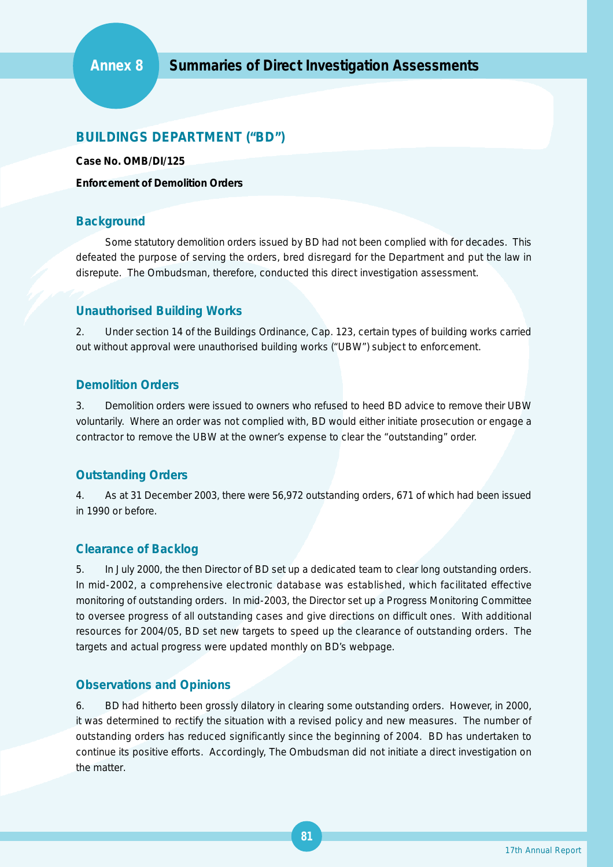# **BUILDINGS DEPARTMENT ("BD")**

**Case No. OMB/DI/125**

**Enforcement of Demolition Orders**

## **Background**

Some statutory demolition orders issued by BD had not been complied with for decades. This defeated the purpose of serving the orders, bred disregard for the Department and put the law in disrepute. The Ombudsman, therefore, conducted this direct investigation assessment.

## **Unauthorised Building Works**

2. Under section 14 of the Buildings Ordinance, Cap. 123, certain types of building works carried out without approval were unauthorised building works ("UBW") subject to enforcement.

#### **Demolition Orders**

3. Demolition orders were issued to owners who refused to heed BD advice to remove their UBW voluntarily. Where an order was not complied with, BD would either initiate prosecution or engage a contractor to remove the UBW at the owner's expense to clear the "outstanding" order.

## **Outstanding Orders**

4. As at 31 December 2003, there were 56,972 outstanding orders, 671 of which had been issued in 1990 or before.

## **Clearance of Backlog**

5. In July 2000, the then Director of BD set up a dedicated team to clear long outstanding orders. In mid-2002, a comprehensive electronic database was established, which facilitated effective monitoring of outstanding orders. In mid-2003, the Director set up a Progress Monitoring Committee to oversee progress of all outstanding cases and give directions on difficult ones. With additional resources for 2004/05, BD set new targets to speed up the clearance of outstanding orders. The targets and actual progress were updated monthly on BD's webpage.

## **Observations and Opinions**

6. BD had hitherto been grossly dilatory in clearing some outstanding orders. However, in 2000, it was determined to rectify the situation with a revised policy and new measures. The number of outstanding orders has reduced significantly since the beginning of 2004. BD has undertaken to continue its positive efforts. Accordingly, The Ombudsman did not initiate a direct investigation on the matter.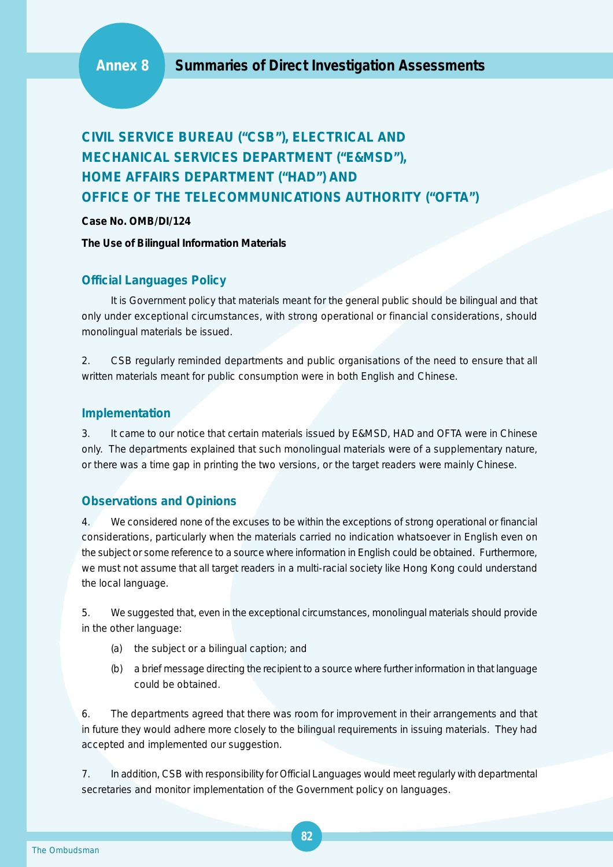# **CIVIL SERVICE BUREAU ("CSB"), ELECTRICAL AND MECHANICAL SERVICES DEPARTMENT ("E&MSD"), HOME AFFAIRS DEPARTMENT ("HAD") AND OFFICE OF THE TELECOMMUNICATIONS AUTHORITY ("OFTA")**

**Case No. OMB/DI/124**

**The Use of Bilingual Information Materials**

#### **Official Languages Policy**

It is Government policy that materials meant for the general public should be bilingual and that only under exceptional circumstances, with strong operational or financial considerations, should monolingual materials be issued.

2. CSB regularly reminded departments and public organisations of the need to ensure that all written materials meant for public consumption were in both English and Chinese.

#### **Implementation**

3. It came to our notice that certain materials issued by E&MSD, HAD and OFTA were in Chinese only. The departments explained that such monolingual materials were of a supplementary nature, or there was a time gap in printing the two versions, or the target readers were mainly Chinese.

## **Observations and Opinions**

4. We considered none of the excuses to be within the exceptions of strong operational or financial considerations, particularly when the materials carried no indication whatsoever in English even on the subject or some reference to a source where information in English could be obtained. Furthermore, we must not assume that all target readers in a multi-racial society like Hong Kong could understand the local language.

5. We suggested that, even in the exceptional circumstances, monolingual materials should provide in the other language:

- (a) the subject or a bilingual caption; and
- (b) a brief message directing the recipient to a source where further information in that language could be obtained.

6. The departments agreed that there was room for improvement in their arrangements and that in future they would adhere more closely to the bilingual requirements in issuing materials. They had accepted and implemented our suggestion.

7. In addition, CSB with responsibility for Official Languages would meet regularly with departmental secretaries and monitor implementation of the Government policy on languages.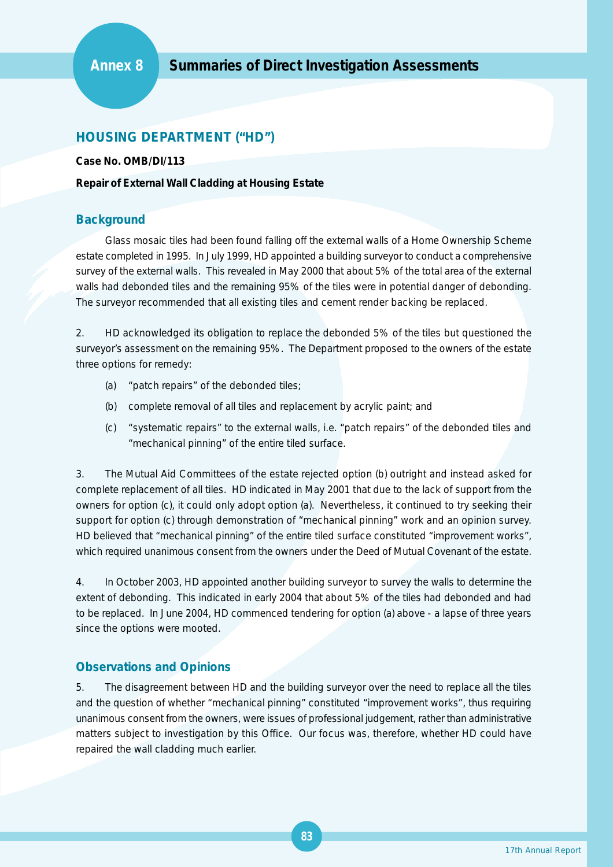# **HOUSING DEPARTMENT ("HD")**

**Case No. OMB/DI/113**

#### **Repair of External Wall Cladding at Housing Estate**

#### **Background**

Glass mosaic tiles had been found falling off the external walls of a Home Ownership Scheme estate completed in 1995. In July 1999, HD appointed a building surveyor to conduct a comprehensive survey of the external walls. This revealed in May 2000 that about 5% of the total area of the external walls had debonded tiles and the remaining 95% of the tiles were in potential danger of debonding. The surveyor recommended that all existing tiles and cement render backing be replaced.

2. HD acknowledged its obligation to replace the debonded 5% of the tiles but questioned the surveyor's assessment on the remaining 95%. The Department proposed to the owners of the estate three options for remedy:

- (a) "patch repairs" of the debonded tiles;
- (b) complete removal of all tiles and replacement by acrylic paint; and
- (c) "systematic repairs" to the external walls, i.e. "patch repairs" of the debonded tiles and "mechanical pinning" of the entire tiled surface.

3. The Mutual Aid Committees of the estate rejected option (b) outright and instead asked for complete replacement of all tiles. HD indicated in May 2001 that due to the lack of support from the owners for option (c), it could only adopt option (a). Nevertheless, it continued to try seeking their support for option (c) through demonstration of "mechanical pinning" work and an opinion survey. HD believed that "mechanical pinning" of the entire tiled surface constituted "improvement works", which required unanimous consent from the owners under the Deed of Mutual Covenant of the estate.

4. In October 2003, HD appointed another building surveyor to survey the walls to determine the extent of debonding. This indicated in early 2004 that about 5% of the tiles had debonded and had to be replaced. In June 2004, HD commenced tendering for option (a) above - a lapse of three years since the options were mooted.

#### **Observations and Opinions**

5. The disagreement between HD and the building surveyor over the need to replace all the tiles and the question of whether "mechanical pinning" constituted "improvement works", thus requiring unanimous consent from the owners, were issues of professional judgement, rather than administrative matters subject to investigation by this Office. Our focus was, therefore, whether HD could have repaired the wall cladding much earlier.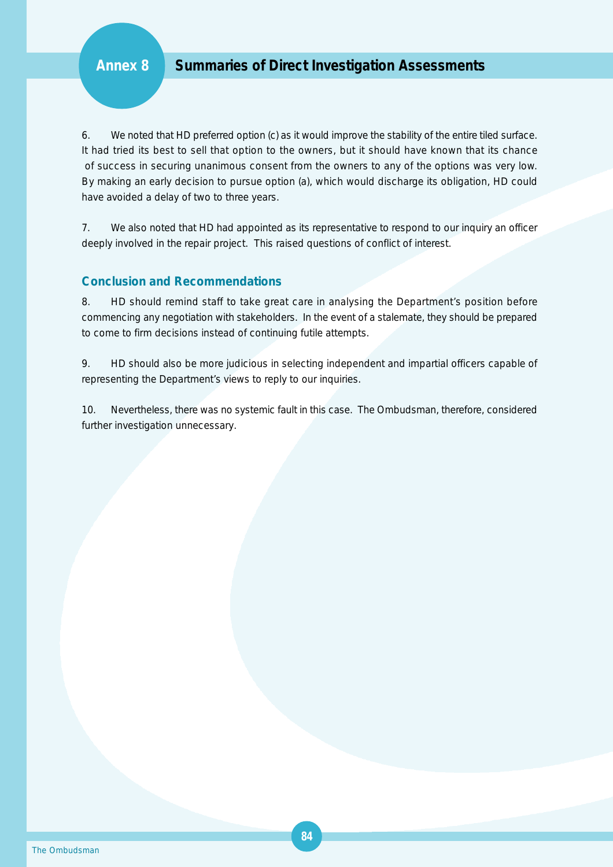6. We noted that HD preferred option (c) as it would improve the stability of the entire tiled surface. It had tried its best to sell that option to the owners, but it should have known that its chance of success in securing unanimous consent from the owners to any of the options was very low. By making an early decision to pursue option (a), which would discharge its obligation, HD could have avoided a delay of two to three years.

7. We also noted that HD had appointed as its representative to respond to our inquiry an officer deeply involved in the repair project. This raised questions of conflict of interest.

#### **Conclusion and Recommendations**

8. HD should remind staff to take great care in analysing the Department's position before commencing any negotiation with stakeholders. In the event of a stalemate, they should be prepared to come to firm decisions instead of continuing futile attempts.

9. HD should also be more judicious in selecting independent and impartial officers capable of representing the Department's views to reply to our inquiries.

10. Nevertheless, there was no systemic fault in this case. The Ombudsman, therefore, considered further investigation unnecessary.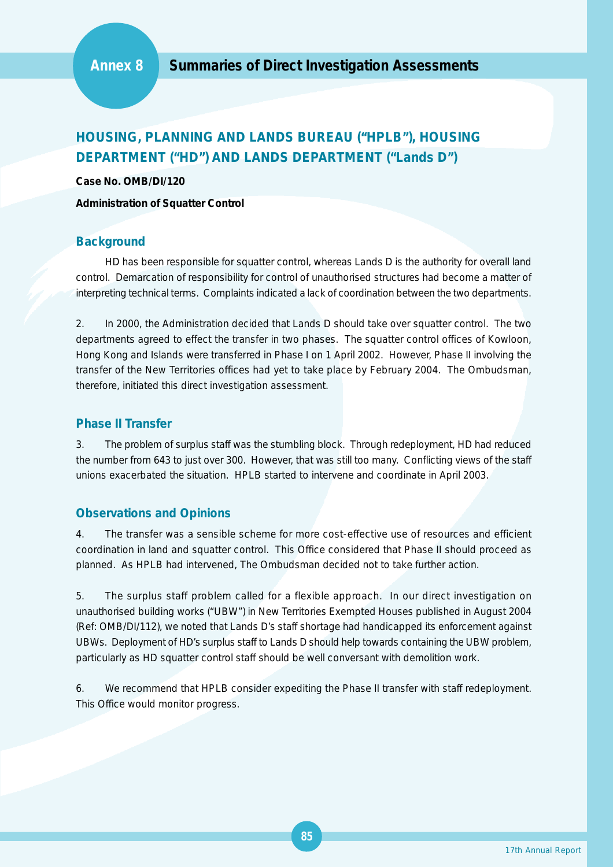# **HOUSING, PLANNING AND LANDS BUREAU ("HPLB"), HOUSING DEPARTMENT ("HD") AND LANDS DEPARTMENT ("Lands D")**

**Case No. OMB/DI/120**

**Administration of Squatter Control**

#### **Background**

HD has been responsible for squatter control, whereas Lands D is the authority for overall land control. Demarcation of responsibility for control of unauthorised structures had become a matter of interpreting technical terms. Complaints indicated a lack of coordination between the two departments.

2. In 2000, the Administration decided that Lands D should take over squatter control. The two departments agreed to effect the transfer in two phases. The squatter control offices of Kowloon, Hong Kong and Islands were transferred in Phase I on 1 April 2002. However, Phase II involving the transfer of the New Territories offices had yet to take place by February 2004. The Ombudsman, therefore, initiated this direct investigation assessment.

#### **Phase II Transfer**

3. The problem of surplus staff was the stumbling block. Through redeployment, HD had reduced the number from 643 to just over 300. However, that was still too many. Conflicting views of the staff unions exacerbated the situation. HPLB started to intervene and coordinate in April 2003.

#### **Observations and Opinions**

4. The transfer was a sensible scheme for more cost-effective use of resources and efficient coordination in land and squatter control. This Office considered that Phase II should proceed as planned. As HPLB had intervened, The Ombudsman decided not to take further action.

5. The surplus staff problem called for a flexible approach. In our direct investigation on unauthorised building works ("UBW") in New Territories Exempted Houses published in August 2004 (Ref: OMB/DI/112), we noted that Lands D's staff shortage had handicapped its enforcement against UBWs. Deployment of HD's surplus staff to Lands D should help towards containing the UBW problem, particularly as HD squatter control staff should be well conversant with demolition work.

6. We recommend that HPLB consider expediting the Phase II transfer with staff redeployment. This Office would monitor progress.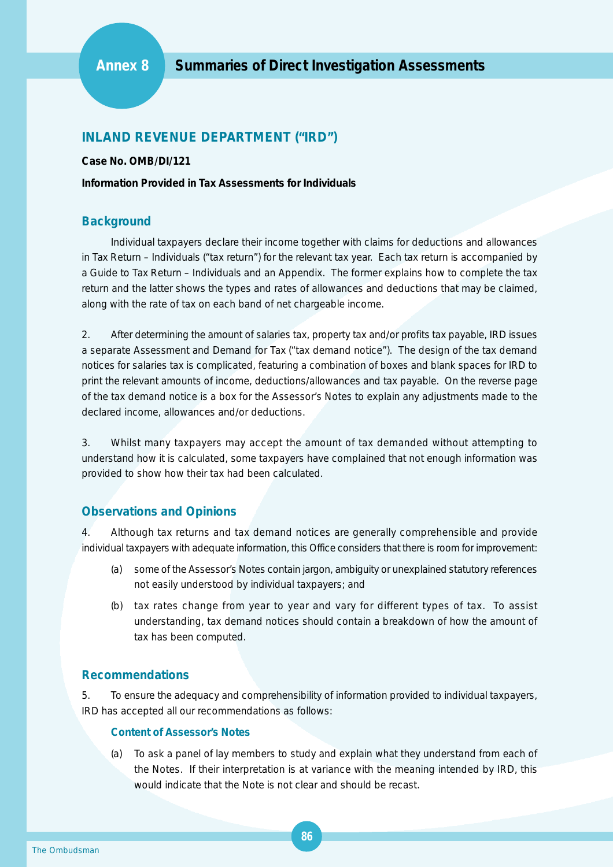## **INLAND REVENUE DEPARTMENT ("IRD")**

**Case No. OMB/DI/121**

**Information Provided in Tax Assessments for Individuals**

#### **Background**

Individual taxpayers declare their income together with claims for deductions and allowances in *Tax Return – Individuals* ("tax return") for the relevant tax year. Each tax return is accompanied by *a Guide to Tax Return – Individuals* and an Appendix. The former explains how to complete the tax return and the latter shows the types and rates of allowances and deductions that may be claimed, along with the rate of tax on each band of net chargeable income.

2. After determining the amount of salaries tax, property tax and/or profits tax payable, IRD issues a separate *Assessment and Demand for Tax* ("tax demand notice"). The design of the tax demand notices for salaries tax is complicated, featuring a combination of boxes and blank spaces for IRD to print the relevant amounts of income, deductions/allowances and tax payable. On the reverse page of the tax demand notice is a box for the Assessor's Notes to explain any adjustments made to the declared income, allowances and/or deductions.

3. Whilst many taxpayers may accept the amount of tax demanded without attempting to understand how it is calculated, some taxpayers have complained that not enough information was provided to show how their tax had been calculated.

#### **Observations and Opinions**

4. Although tax returns and tax demand notices are generally comprehensible and provide individual taxpayers with adequate information, this Office considers that there is room for improvement:

- (a) some of the Assessor's Notes contain jargon, ambiguity or unexplained statutory references not easily understood by individual taxpayers; and
- (b) tax rates change from year to year and vary for different types of tax. To assist understanding, tax demand notices should contain a breakdown of how the amount of tax has been computed.

#### **Recommendations**

5. To ensure the adequacy and comprehensibility of information provided to individual taxpayers, IRD has accepted all our recommendations as follows:

#### **Content of Assessor's Notes**

To ask a panel of lay members to study and explain what they understand from each of the Notes. If their interpretation is at variance with the meaning intended by IRD, this would indicate that the Note is not clear and should be recast.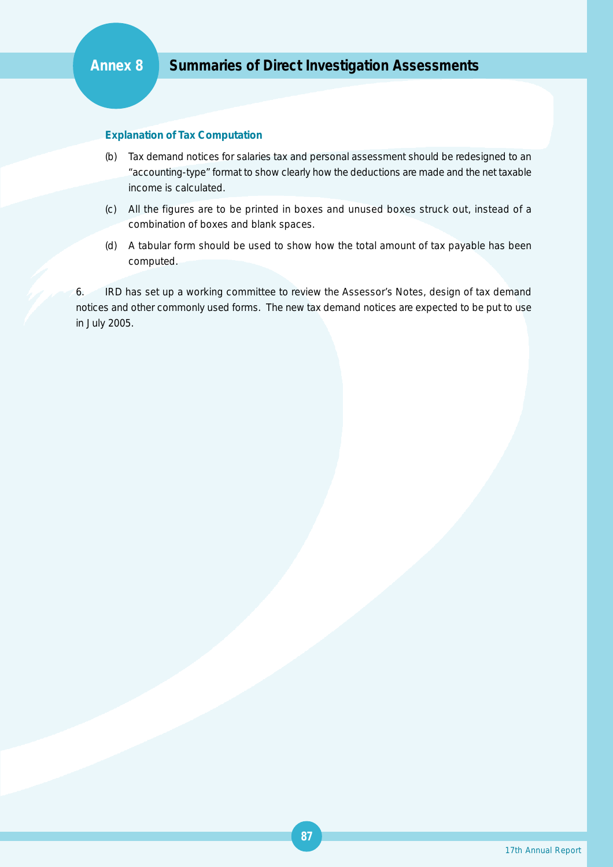# **Annex 8 Summaries of Direct Investigation Assessments**

#### **Explanation of Tax Computation**

- (b) Tax demand notices for salaries tax and personal assessment should be redesigned to an "accounting-type" format to show clearly how the deductions are made and the net taxable income is calculated.
- (c) All the figures are to be printed in boxes and unused boxes struck out, instead of a combination of boxes and blank spaces.
- (d) A tabular form should be used to show how the total amount of tax payable has been computed.

6. IRD has set up a working committee to review the Assessor's Notes, design of tax demand notices and other commonly used forms. The new tax demand notices are expected to be put to use in July 2005.